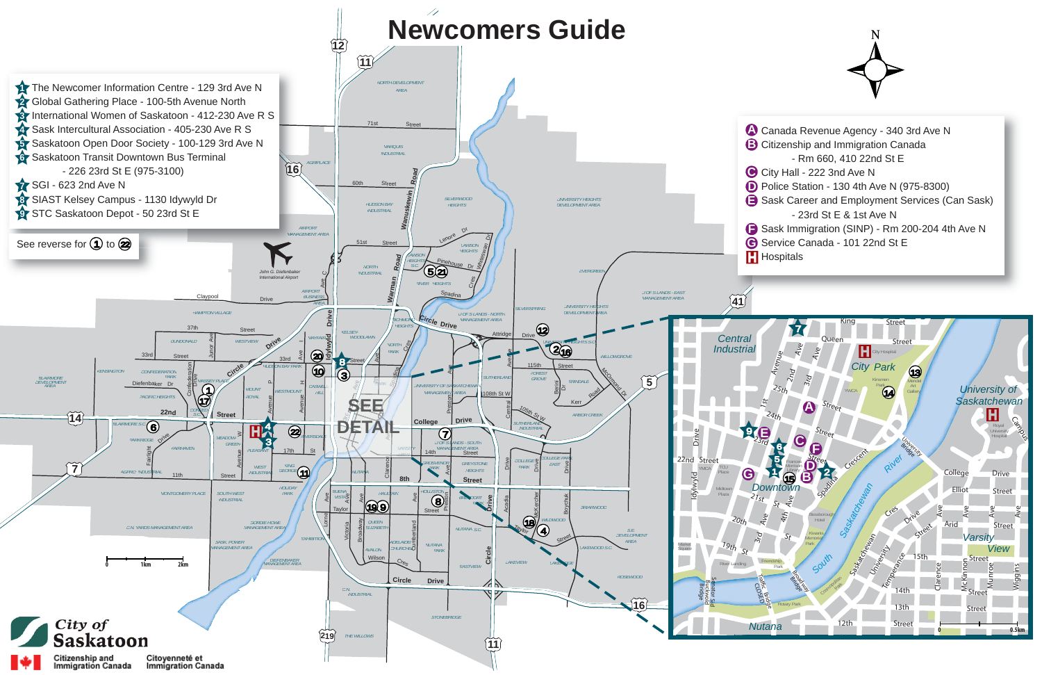